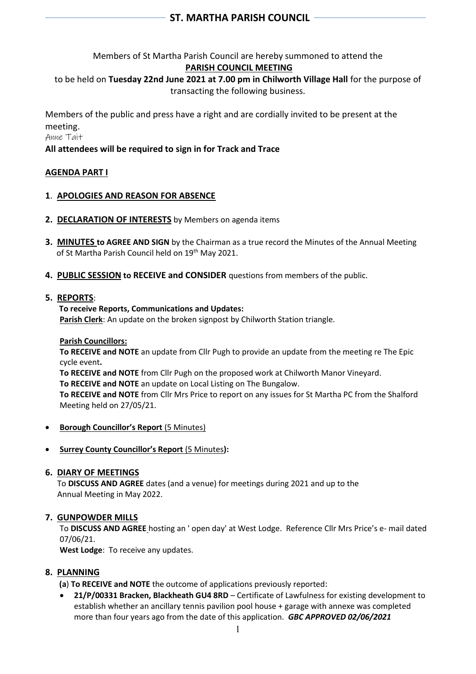Members of St Martha Parish Council are hereby summoned to attend the

# **PARISH COUNCIL MEETING**

to be held on **Tuesday 22nd June 2021 at 7.00 pm in Chilworth Village Hall** for the purpose of transacting the following business.

Members of the public and press have a right and are cordially invited to be present at the meeting.

Anne Tait

## **All attendees will be required to sign in for Track and Trace**

## **AGENDA PART I**

## **1**. **APOLOGIES AND REASON FOR ABSENCE**

- **2. DECLARATION OF INTERESTS** by Members on agenda items
- **3. MINUTES to AGREE AND SIGN** by the Chairman as a true record the Minutes of the Annual Meeting of St Martha Parish Council held on 19<sup>th</sup> May 2021.
- **4. PUBLIC SESSION to RECEIVE and CONSIDER** questions from members of the public.

### **5. REPORTS**:

#### **To receive Reports, Communications and Updates:**

**Parish Clerk**: An update on the broken signpost by Chilworth Station triangle.

#### **Parish Councillors:**

**To RECEIVE and NOTE** an update from Cllr Pugh to provide an update from the meeting re The Epic cycle event**.**

**To RECEIVE and NOTE** from Cllr Pugh on the proposed work at Chilworth Manor Vineyard.

**To RECEIVE and NOTE** an update on Local Listing on The Bungalow.

**To RECEIVE and NOTE** from Cllr Mrs Price to report on any issues for St Martha PC from the Shalford Meeting held on 27/05/21.

- **Borough Councillor's Report** (5 Minutes)
- **Surrey County Councillor's Report** (5 Minutes**):**

### **6. DIARY OF MEETINGS**

 To **DISCUSS AND AGREE** dates (and a venue) for meetings during 2021 and up to the Annual Meeting in May 2022.

### **7. GUNPOWDER MILLS**

To **DISCUSS AND AGREE** hosting an ' open day' at West Lodge. Reference Cllr Mrs Price's e- mail dated 07/06/21.

**West Lodge**: To receive any updates.

### **8. PLANNING**

**(a**) **To RECEIVE and NOTE** the outcome of applications previously reported:

• **21/P/00331 Bracken, Blackheath GU4 8RD** – Certificate of Lawfulness for existing development to establish whether an ancillary tennis pavilion pool house + garage with annexe was completed more than four years ago from the date of this application. *GBC APPROVED 02/06/2021*